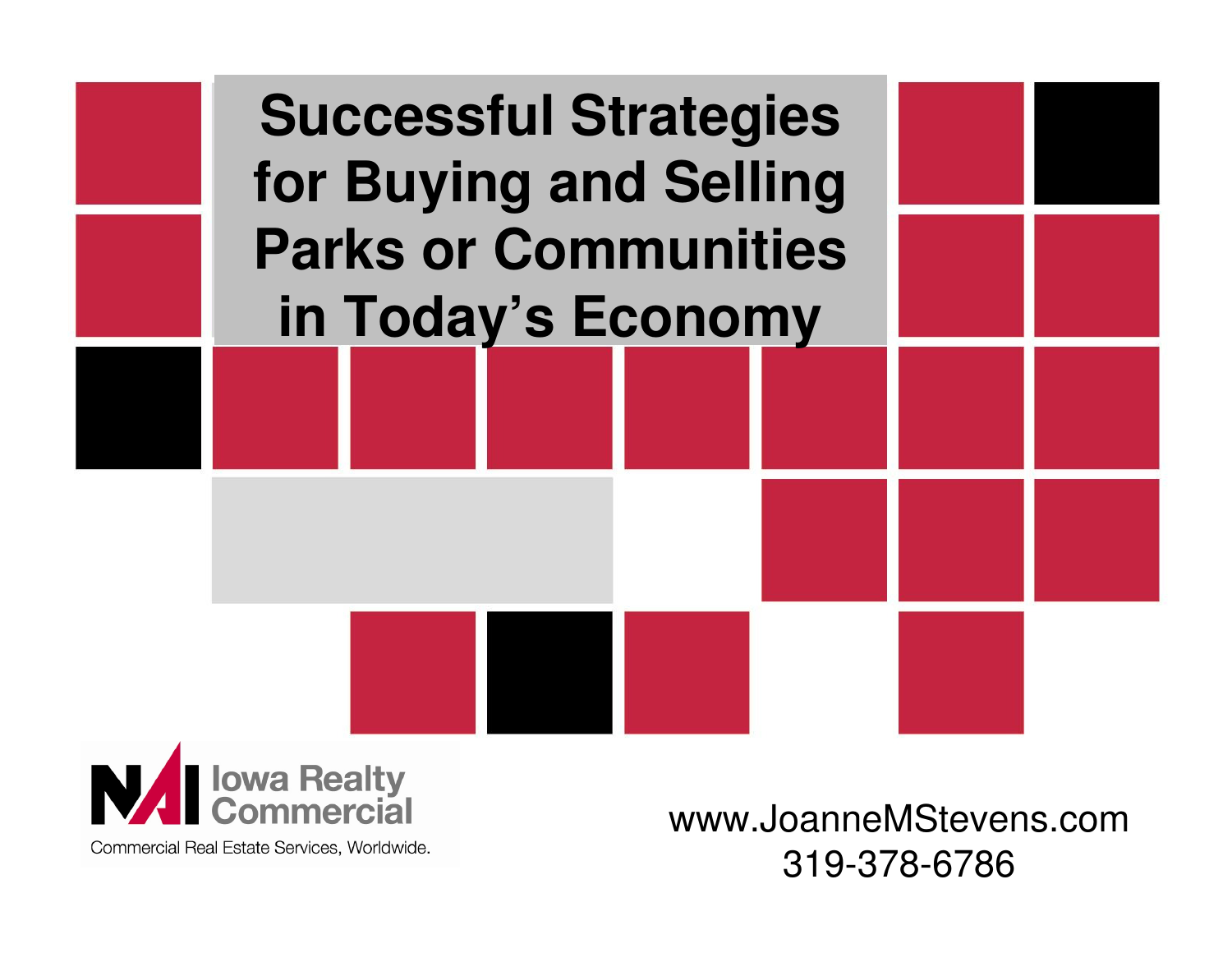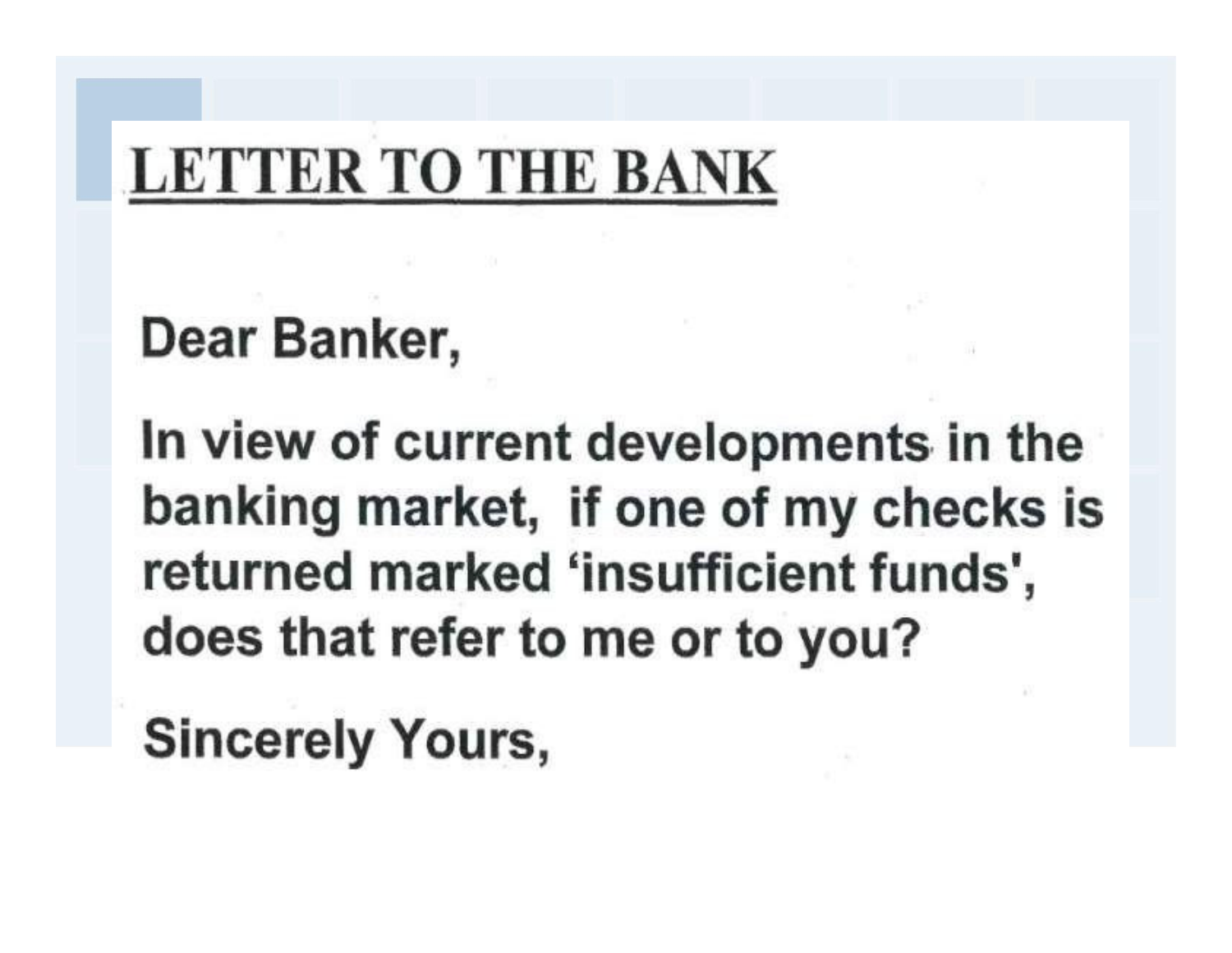# **LETTER TO THE BANK**

## Dear Banker,

In view of current developments in the banking market, if one of my checks is returned marked 'insufficient funds', does that refer to me or to you?

**Sincerely Yours,**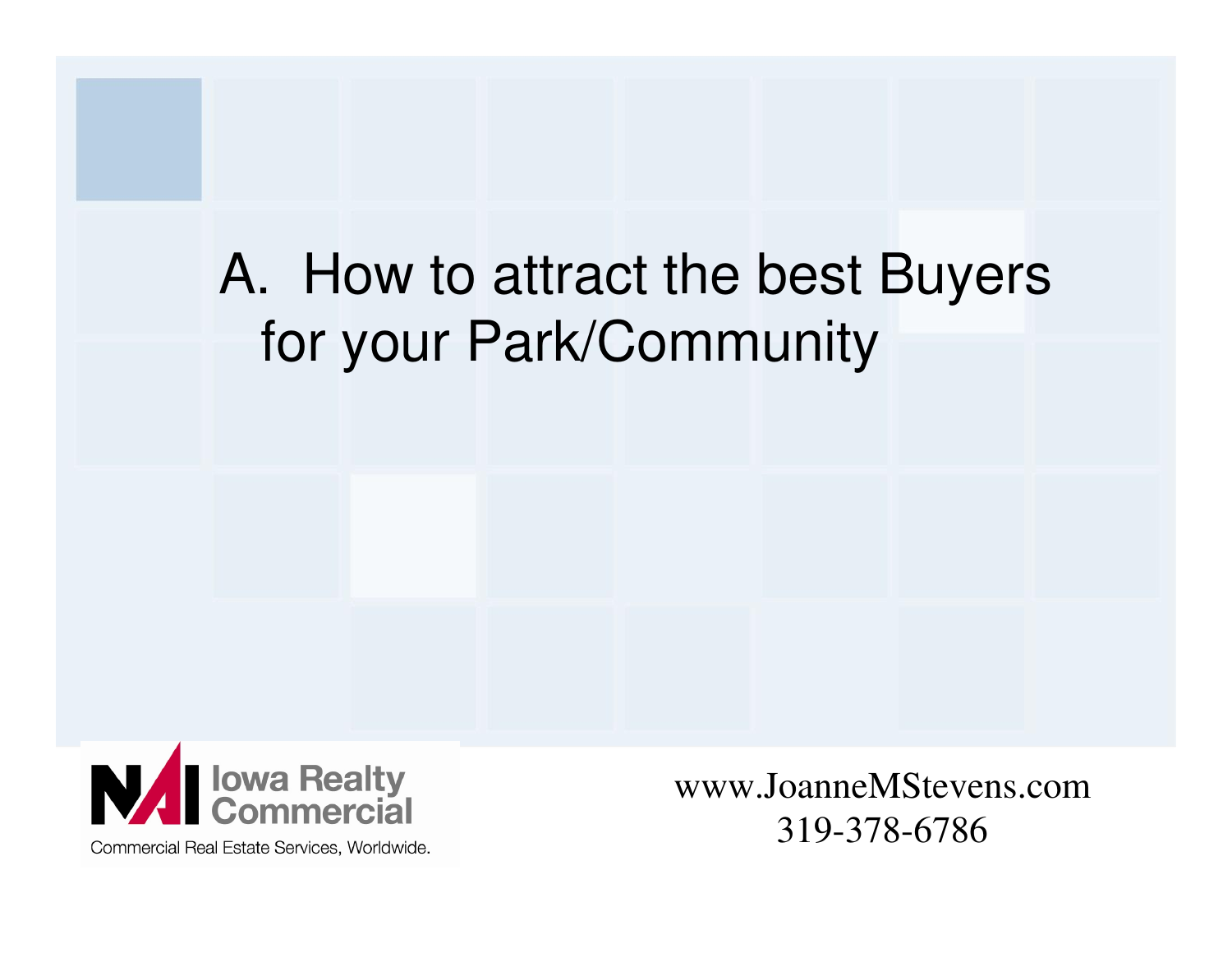## A. How to attract the best Buyers for your Park/Community



www.JoanneMStevens.com319-378-6786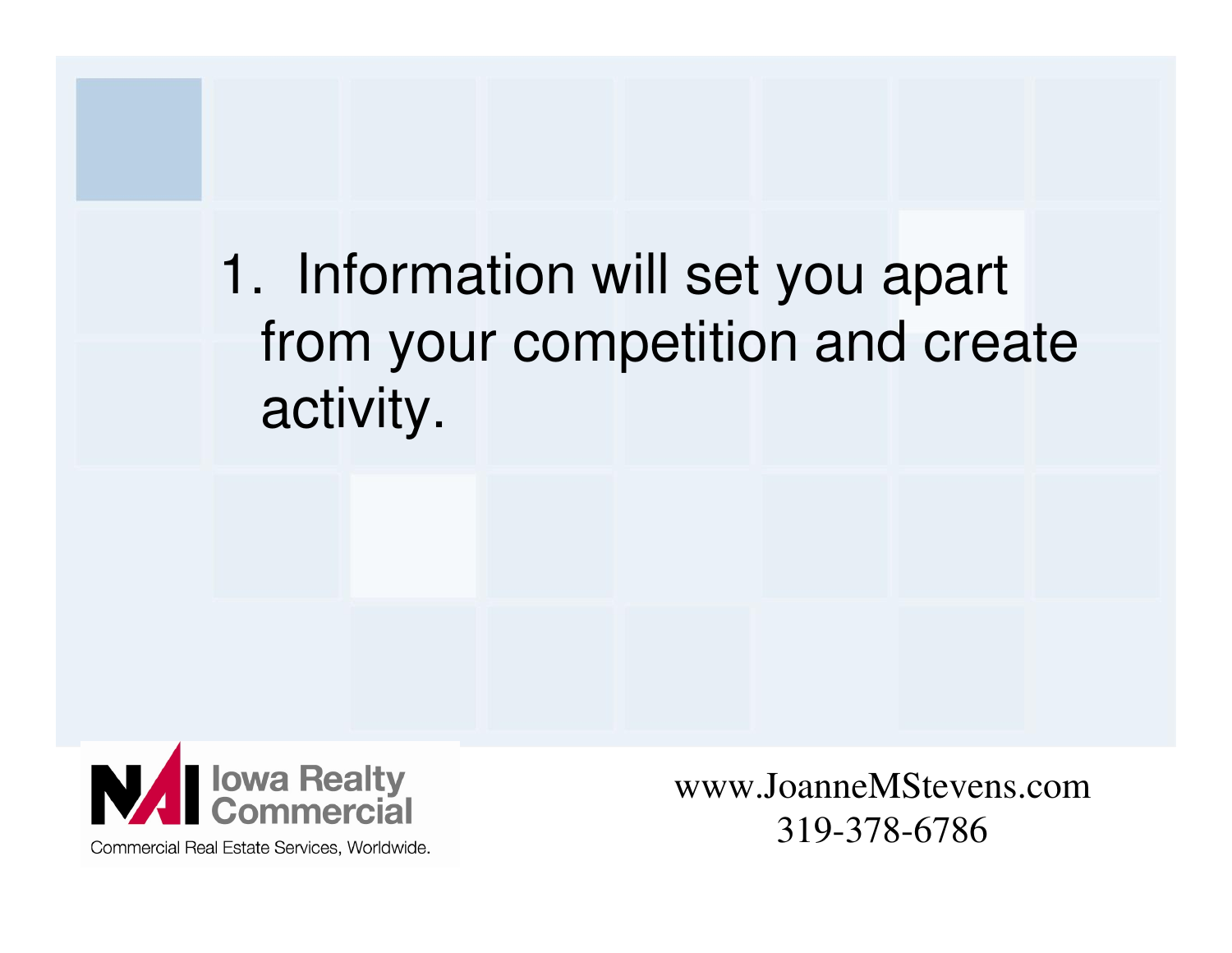1. Information will set you apart from your competition and create activity.



Commercial Real Estate Services, Worldwide.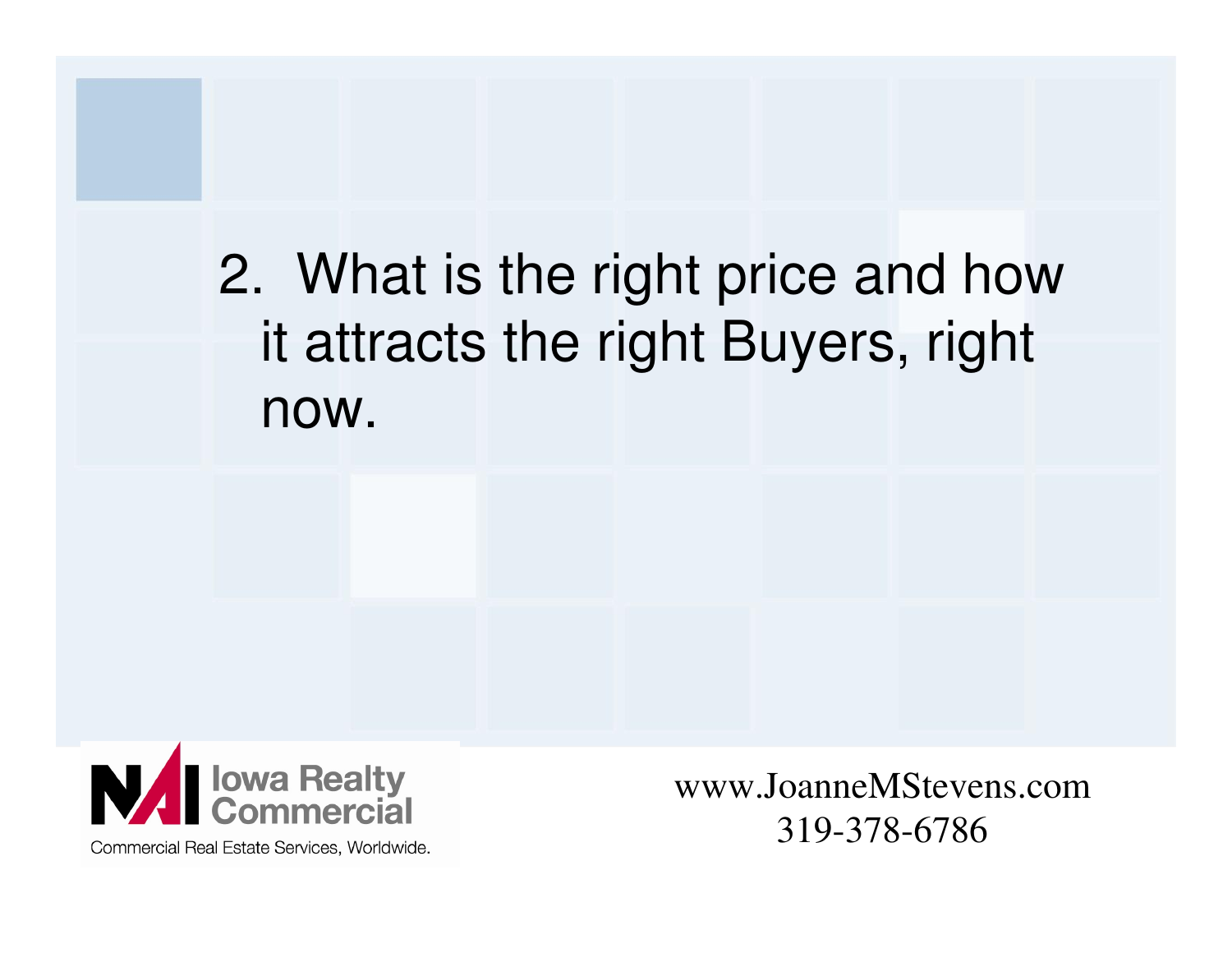## 2. What is the right price and how it attracts the right Buyers, right now.



www.JoanneMStevens.com319-378-6786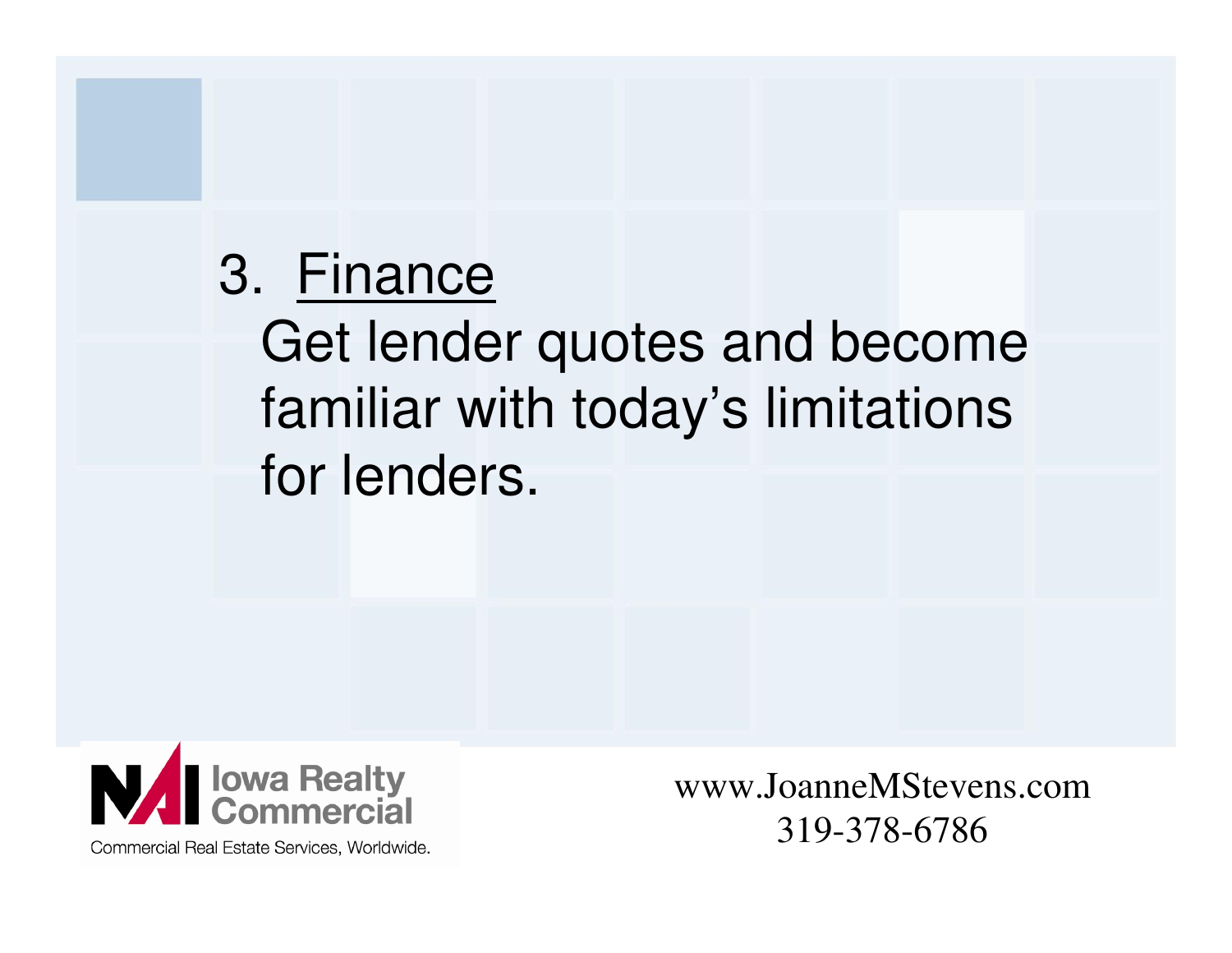### 3. Finance

 Get lender quotes and become familiar with today's limitations for lenders.



www.JoanneMStevens.com319-378-6786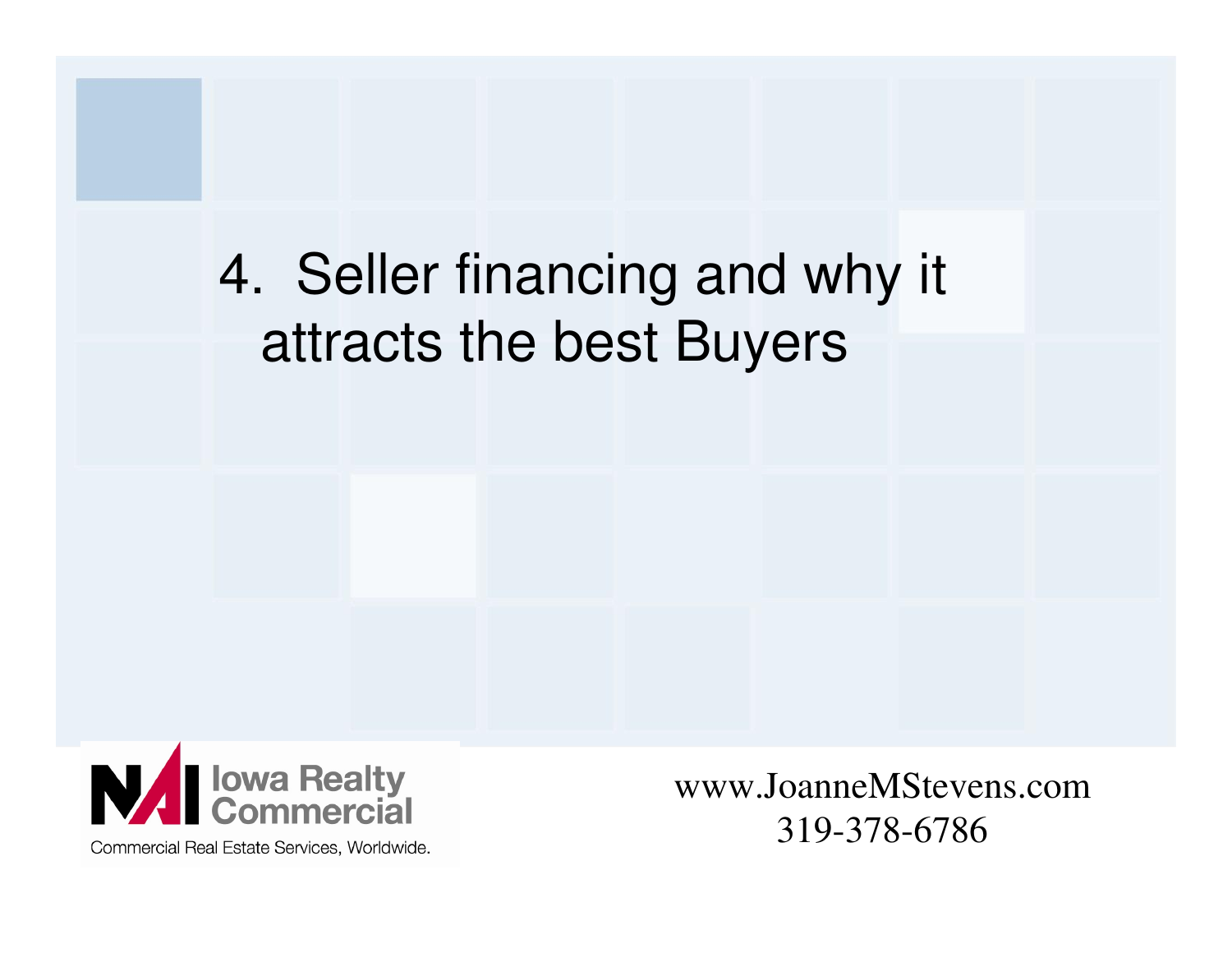## 4. Seller financing and why it attracts the best Buyers



www.JoanneMStevens.com319-378-6786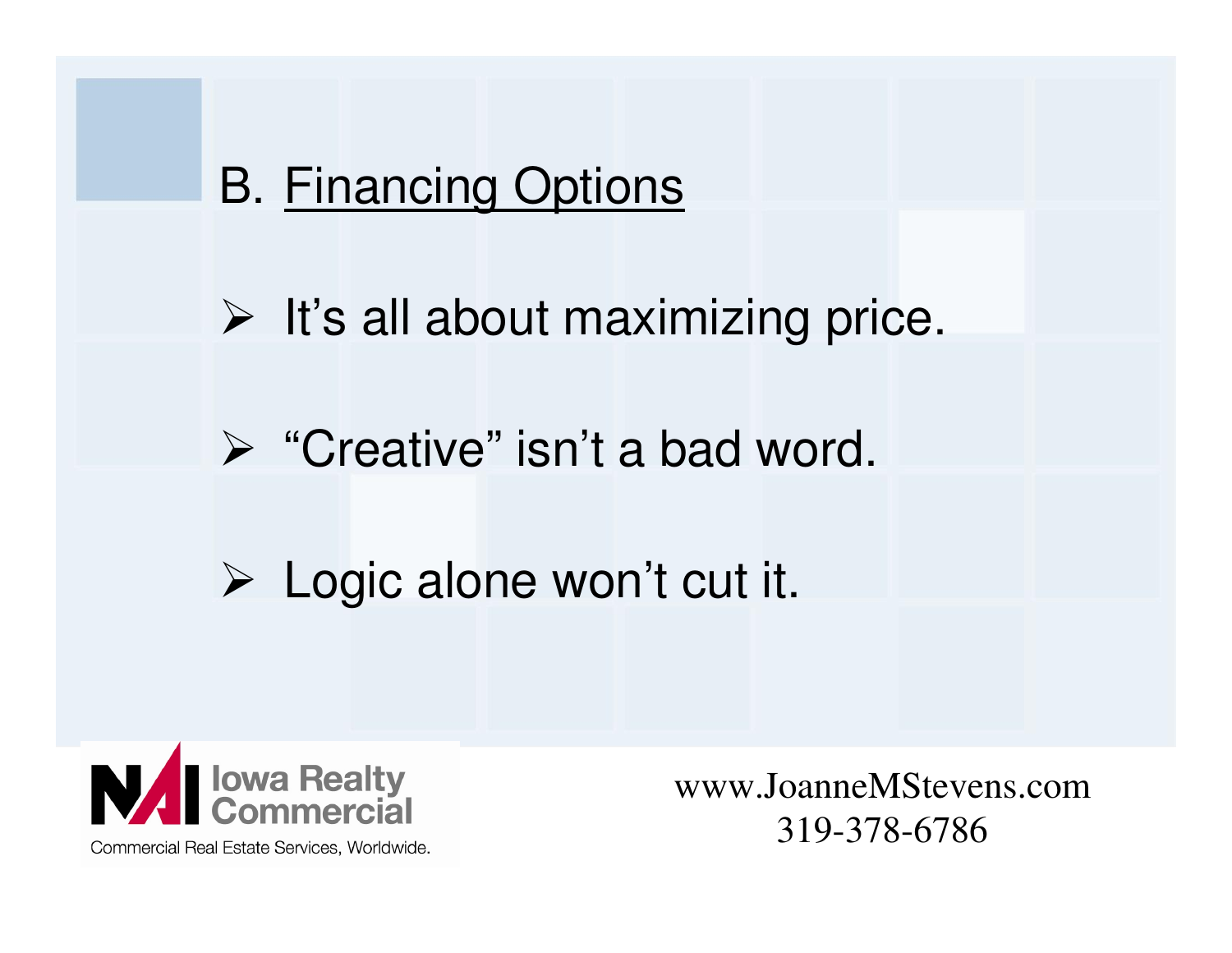#### B. Financing Options

 $\triangleright$  It's all about maximizing price.

> "Creative" isn't a bad word.

# Logic alone won't cut it.

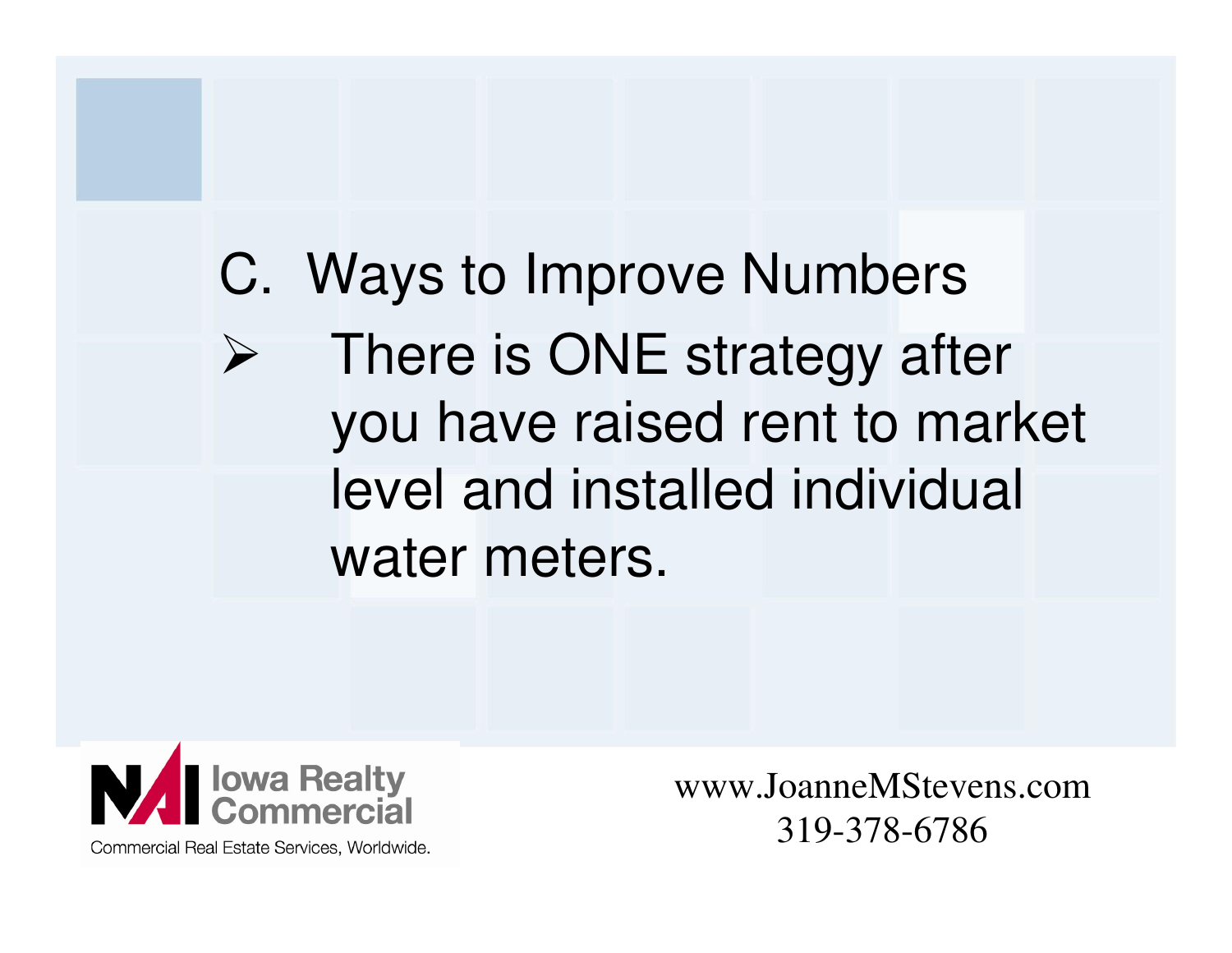### C. Ways to Improve Numbers $\blacktriangleright$  There is ONE strategy after you have raised rent to market level and installed individual water meters.



www.JoanneMStevens.com319-378-6786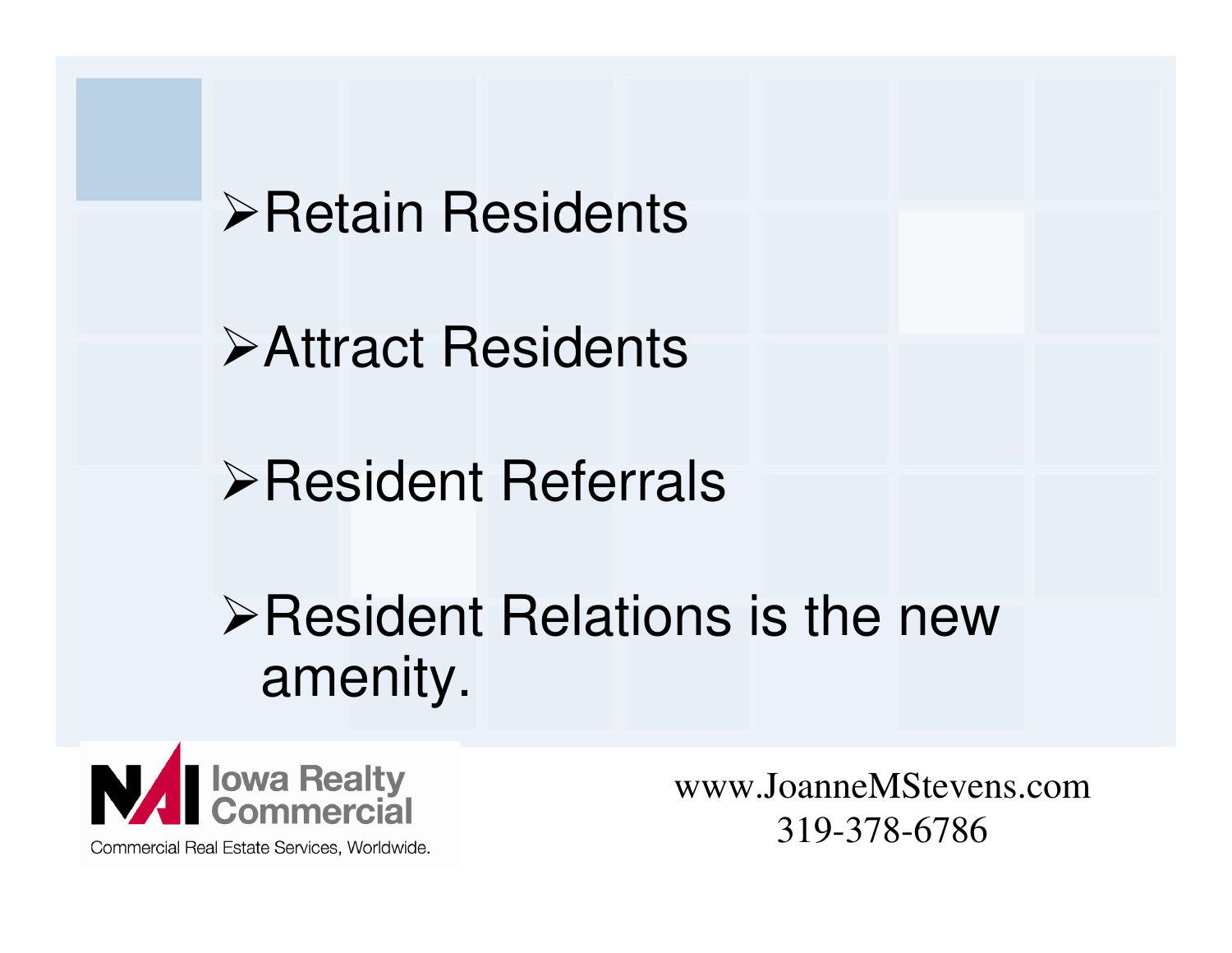**≻Retain Residents** 

Attract Residents

Resident Referrals

**≻Resident Relations is the new** amenity.



www.JoanneMStevens.com319-378-6786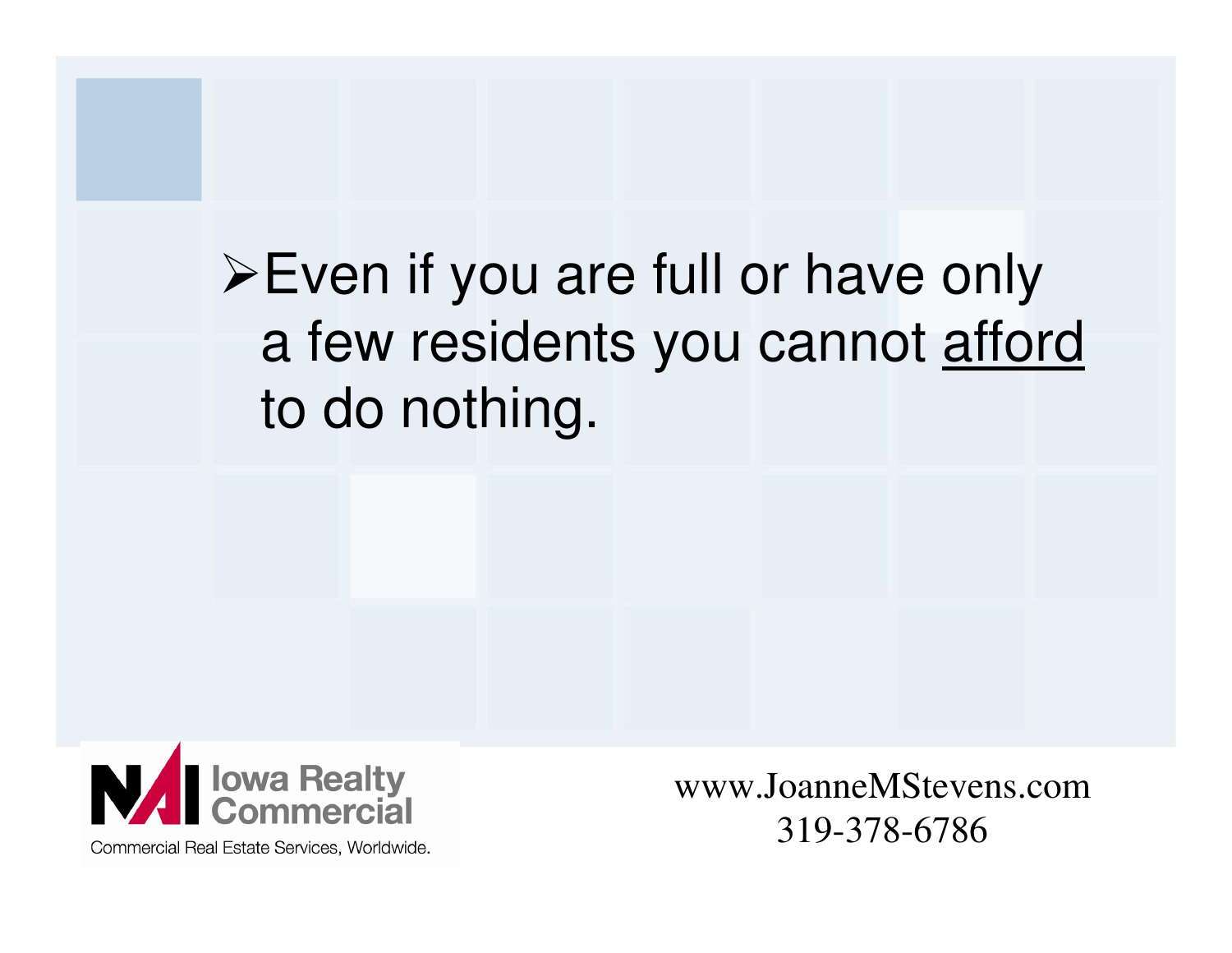## Even if you are full or have only a few residents you cannot afford to do nothing.



Commercial Real Estate Services, Worldwide.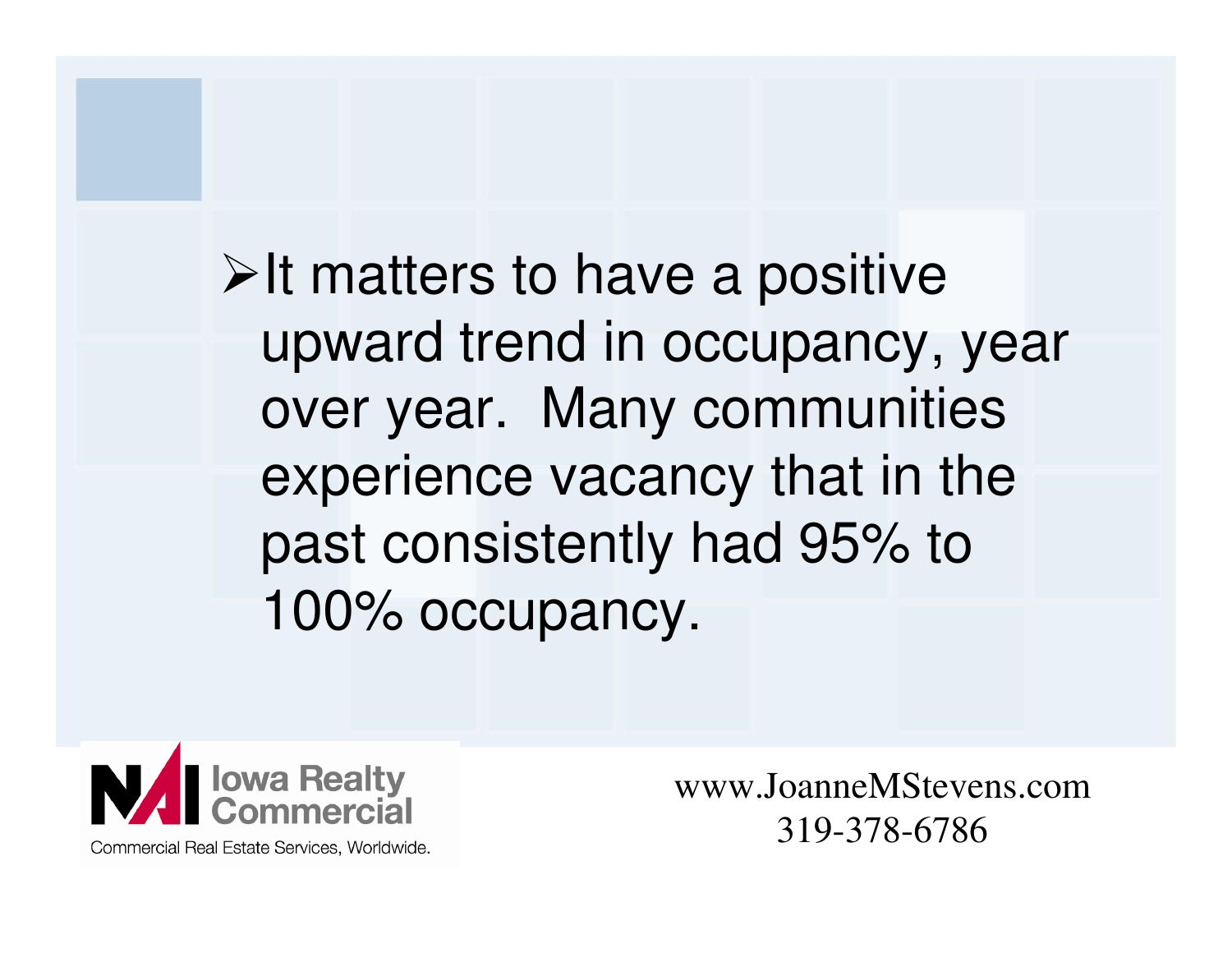$\triangleright$  It matters to have a positive upward trend in occupancy, year over year. Many communities experience vacancy that in the past consistently had 95% to 100% occupancy.

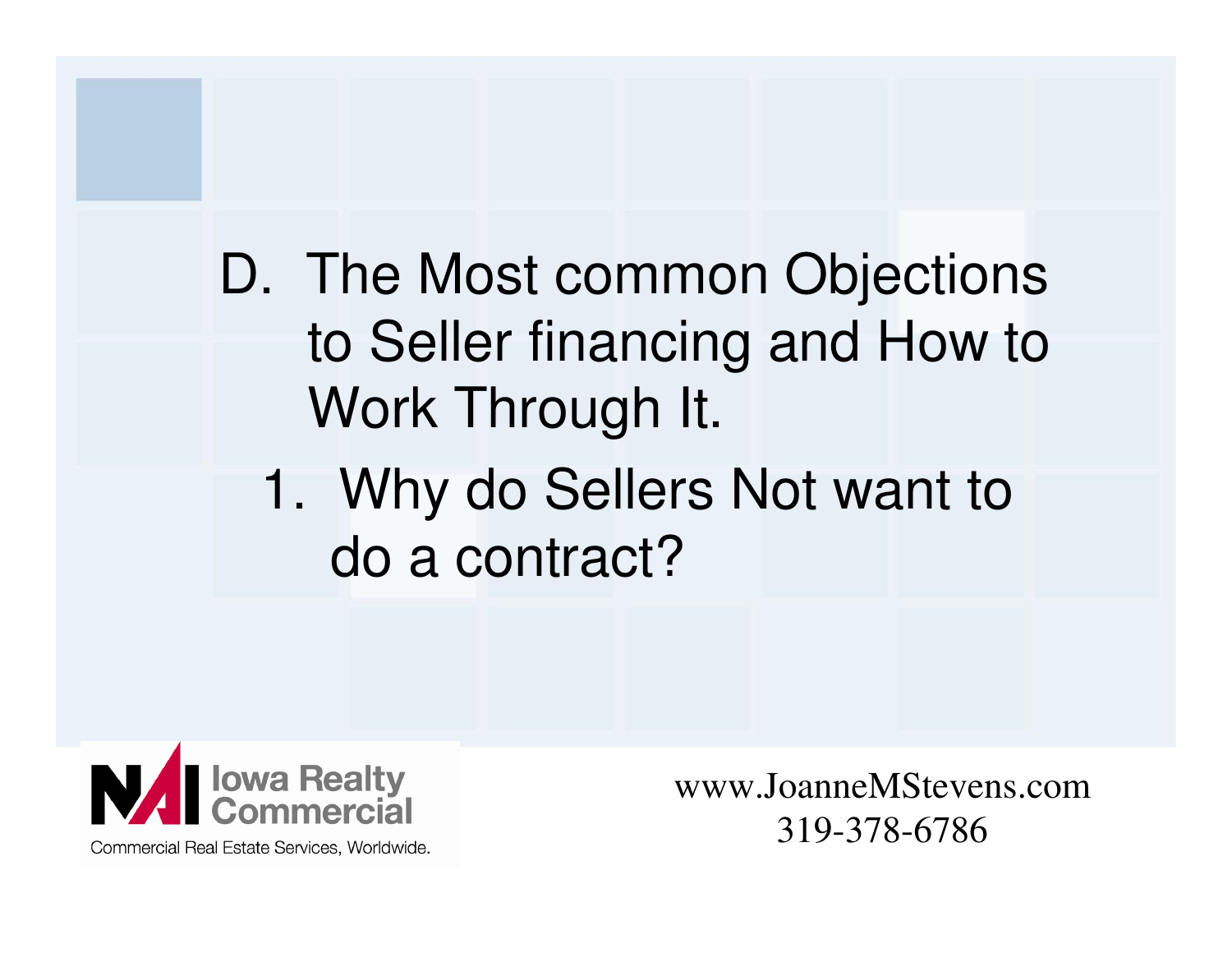D. The Most common Objections to Seller financing and How to Work Through It.

1. Why do Sellers Not want to do a contract?



www.JoanneMStevens.com319-378-6786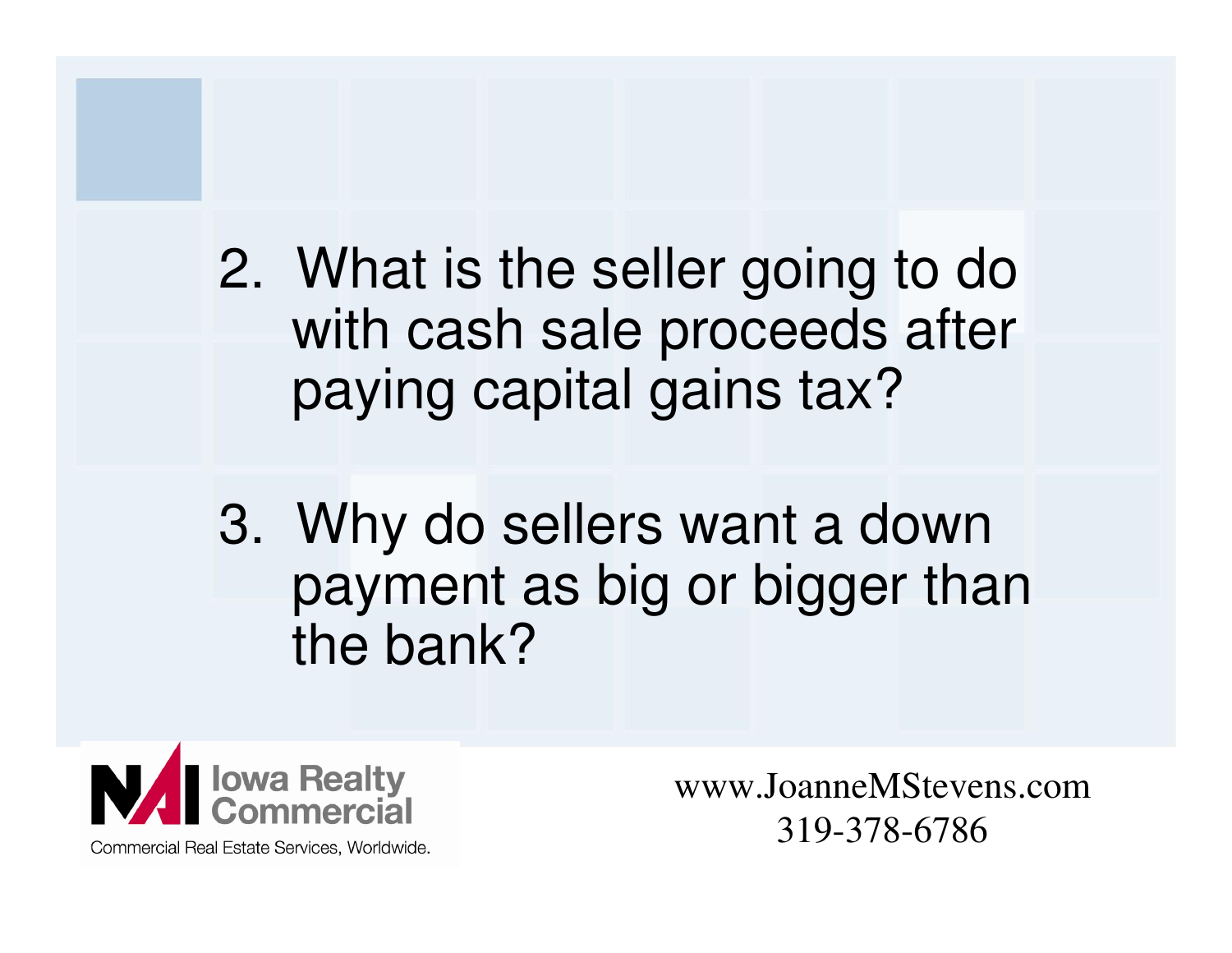2. What is the seller going to do with cash sale proceeds after paying capital gains tax?

3. Why do sellers want a down payment as big or bigger than the bank?

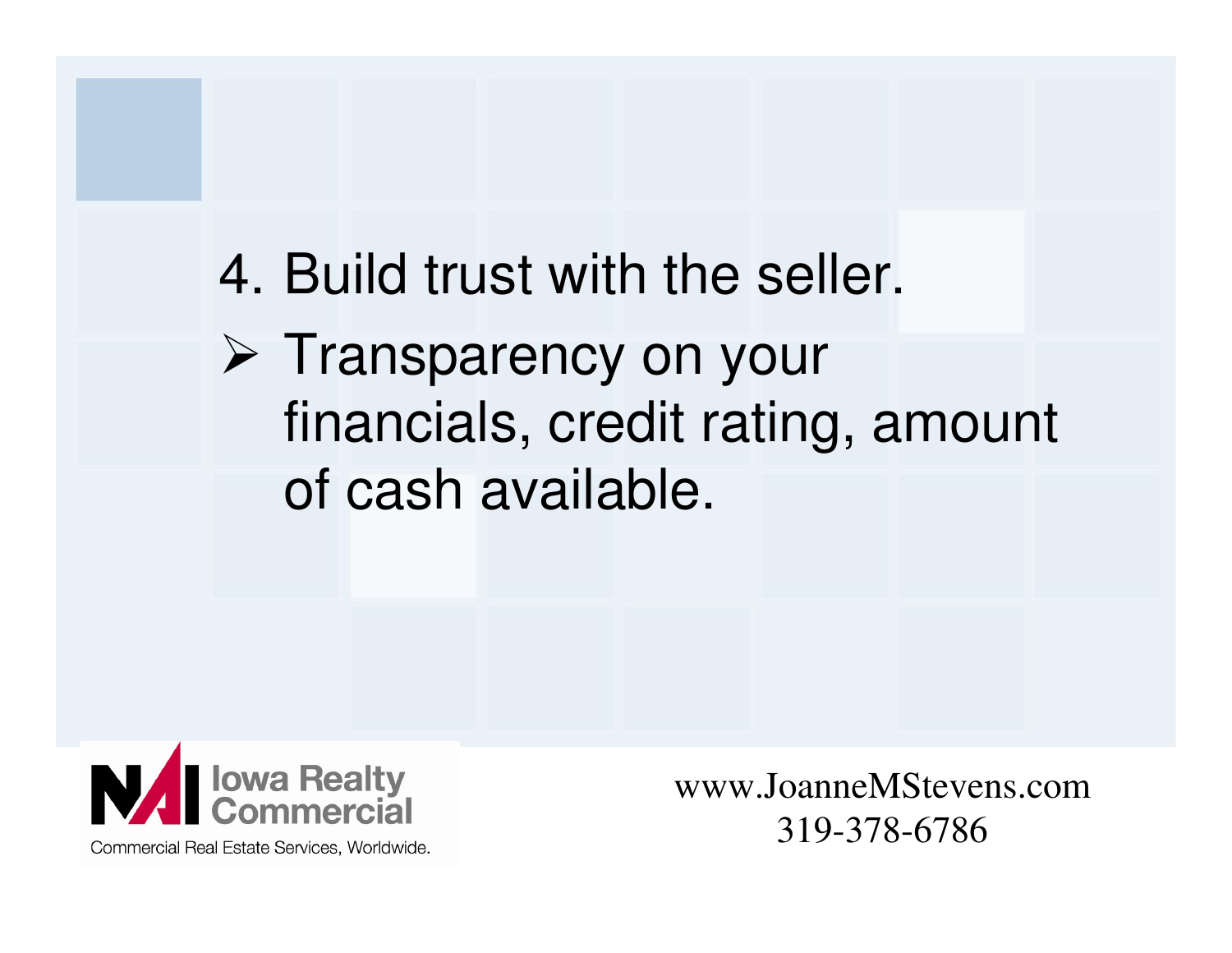## 4. Build trust with the seller. > Transparency on your financials, credit rating, amount of cash available.



www.JoanneMStevens.com319-378-6786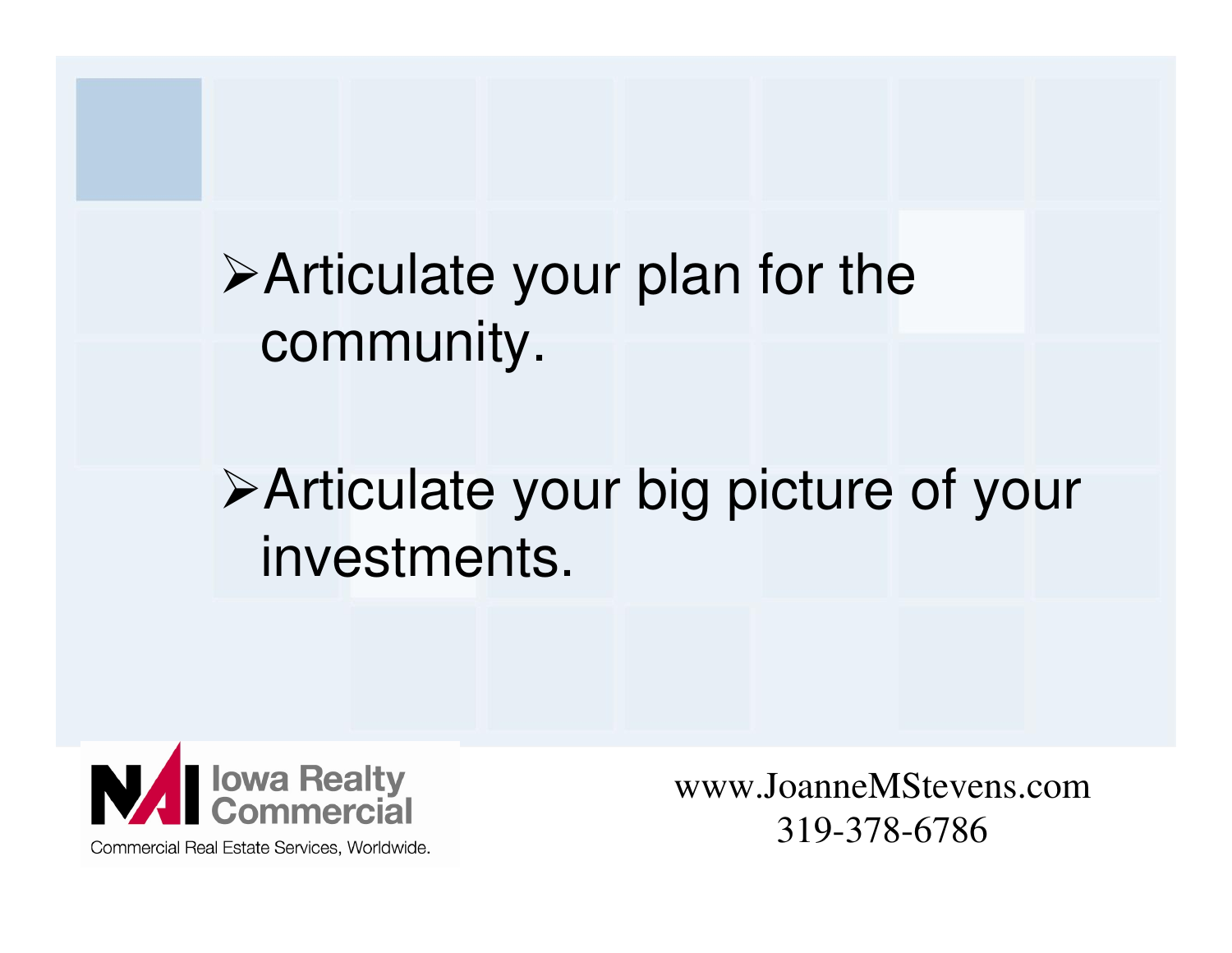Articulate your plan for the community.

### Articulate your big picture of your investments.



www.JoanneMStevens.com319-378-6786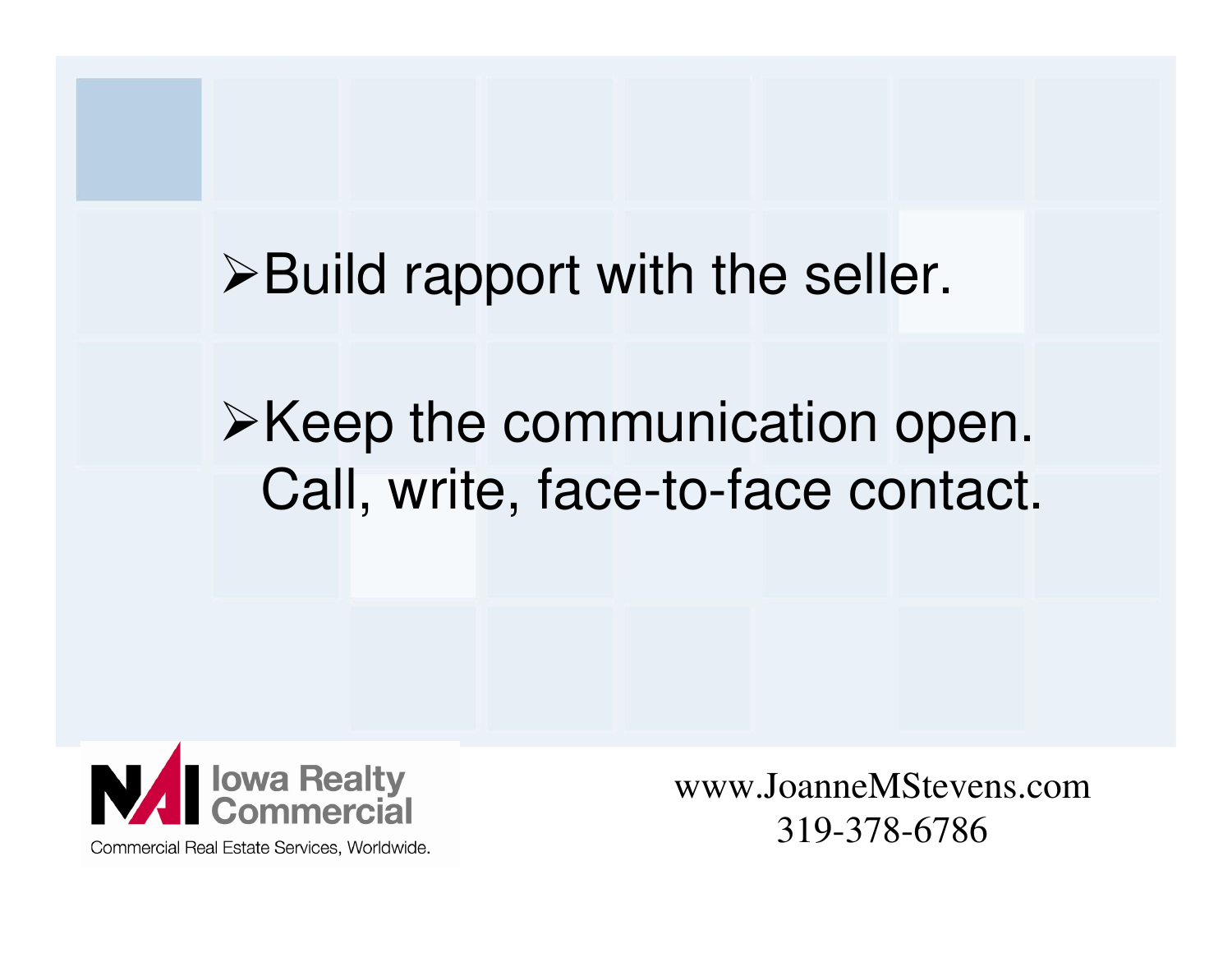$\triangleright$  Build rapport with the seller.

### $\triangleright$  Keep the communication open. Call, write, face-to-face contact.



www.JoanneMStevens.com319-378-6786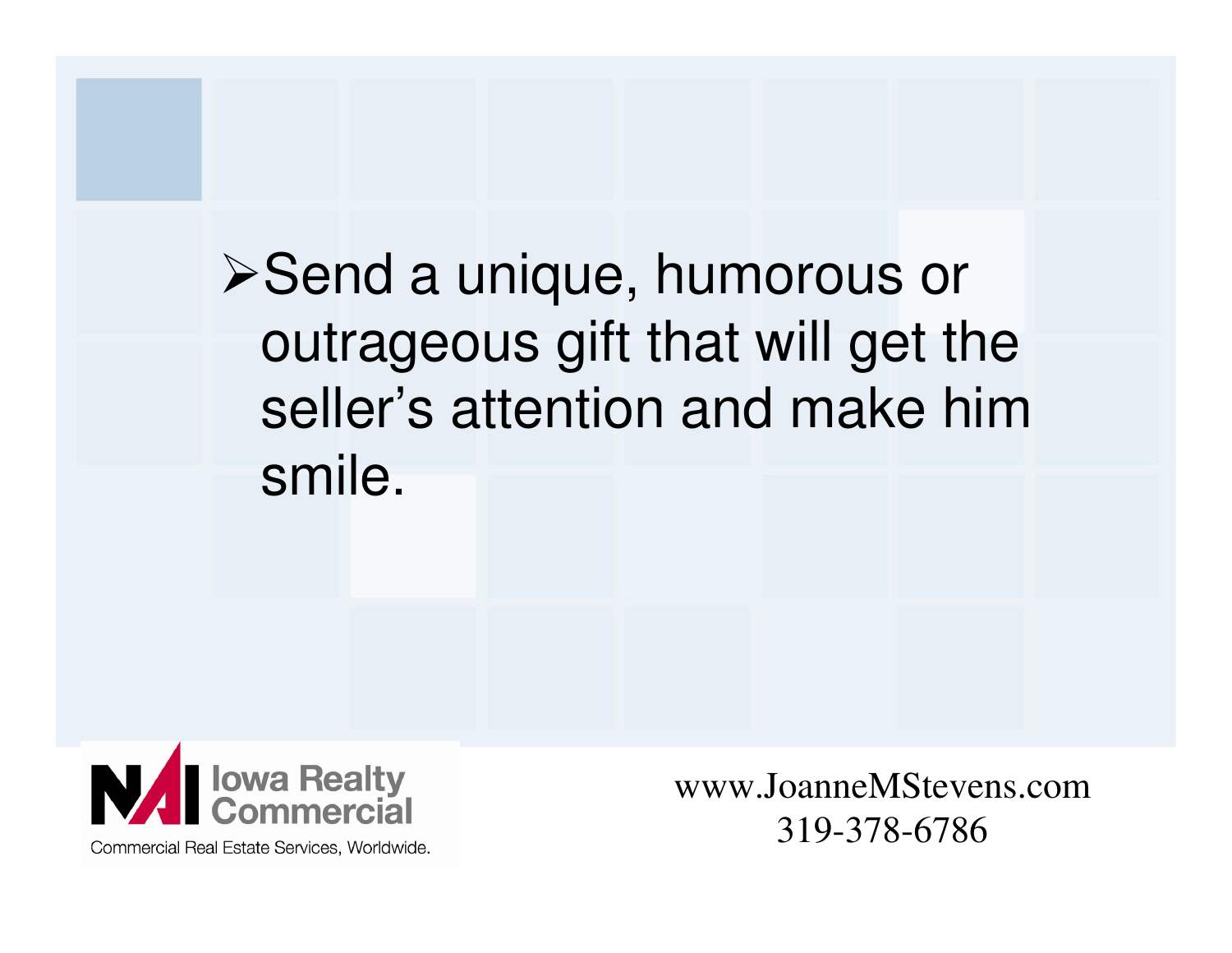**≻Send a unique, humorous or**  outrageous gift that will get the seller's attention and make him smile.



www.JoanneMStevens.com319-378-6786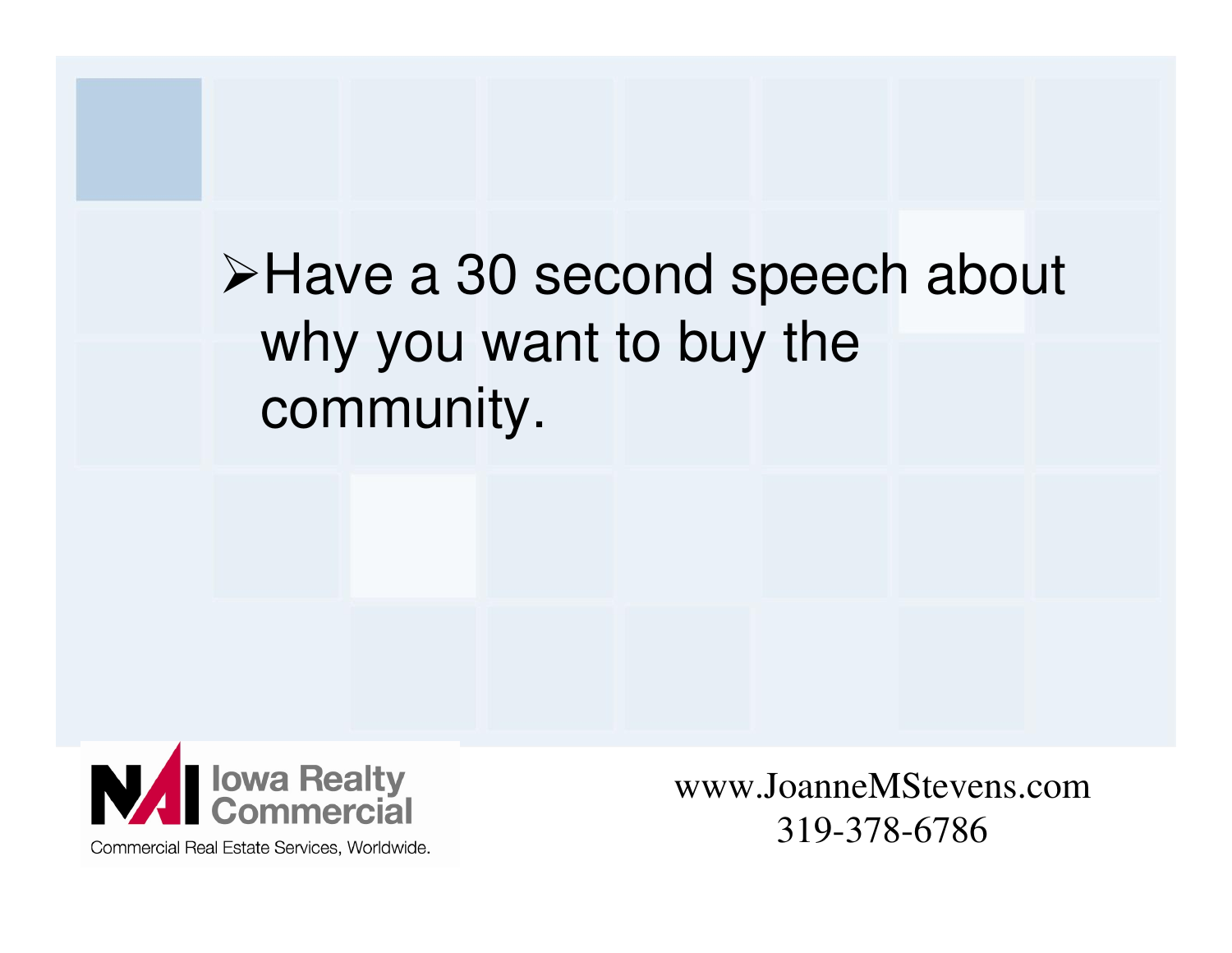## Have a 30 second speech about why you want to buy the community.



Commercial Real Estate Services, Worldwide.